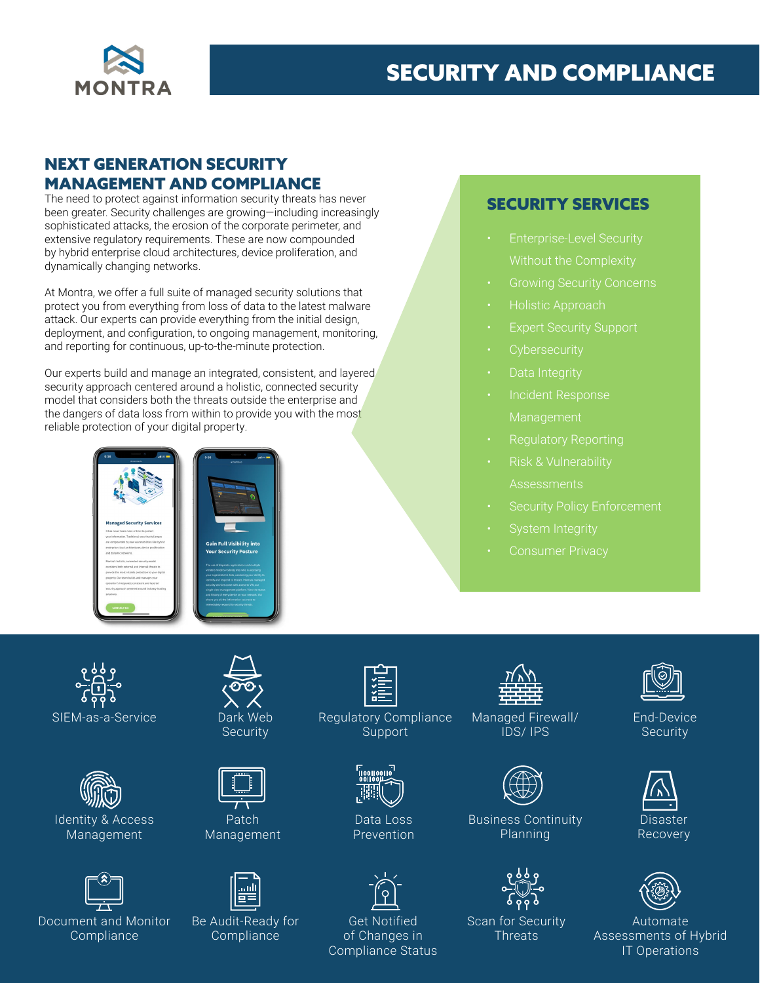

## SECURITY AND COMPLIANCE

#### NEXT GENERATION SECURITY MANAGEMENT AND COMPLIANCE

The need to protect against information security threats has never been greater. Security challenges are growing—including increasingly sophisticated attacks, the erosion of the corporate perimeter, and extensive regulatory requirements. These are now compounded by hybrid enterprise cloud architectures, device proliferation, and dynamically changing networks.

At Montra, we offer a full suite of managed security solutions that protect you from everything from loss of data to the latest malware attack. Our experts can provide everything from the initial design, deployment, and configuration, to ongoing management, monitoring, and reporting for continuous, up-to-the-minute protection.

Our experts build and manage an integrated, consistent, and layered security approach centered around a holistic, connected security model that considers both the threats outside the enterprise and the dangers of data loss from within to provide you with the most reliable protection of your digital property.





### SECURITY SERVICES

- Enterprise-Level Security Without the Complexity
- Growing Security Concerns
- 
- 
- **Cybersecurity**
- Data Integrity
- Incident Response
- Management
- 
- Risk & Vulnerability
- 
- 
- 



Identity & Access Management

Document and Monitor Compliance





Patch Management



Be Audit-Ready for **Compliance** 



Regulatory Compliance Support



Data Loss Prevention



Get Notified of Changes in Compliance Status



Managed Firewall/ IDS/ IPS



Business Continuity Planning



Scan for Security **Threats** 



End-Device Security





Automate Assessments of Hybrid IT Operations